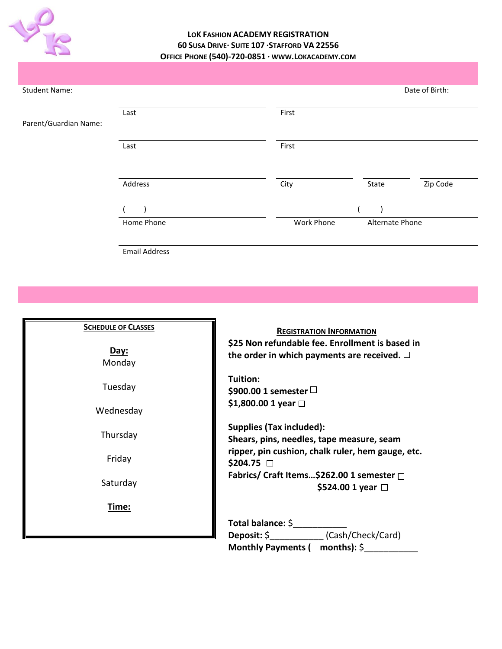

# **LOK FASHION ACADEMY REGISTRATION 60 SUSA DRIVE· SUITE 107 ·STAFFORD VA 22556 OFFICE PHONE (540)-720-0851 · WWW.LOKACADEMY.COM**

| <b>Student Name:</b>  |            |                               |       | Date of Birth: |
|-----------------------|------------|-------------------------------|-------|----------------|
| Parent/Guardian Name: | Last       | First                         |       |                |
|                       | Last       | First                         |       |                |
|                       | Address    | City                          | State | Zip Code       |
|                       |            |                               |       |                |
|                       | Home Phone | Work Phone<br>Alternate Phone |       |                |

Email Address

| <b>SCHEDULE OF CLASSES</b><br>Day:<br>Monday | <b>REGISTRATION INFORMATION</b><br>\$25 Non refundable fee. Enrollment is based in<br>the order in which payments are received. $\square$ |  |
|----------------------------------------------|-------------------------------------------------------------------------------------------------------------------------------------------|--|
| Tuesday<br>Wednesday                         | Tuition:<br>\$900.00 1 semester $\Box$<br>\$1,800.00 1 year $□$                                                                           |  |
| Thursday                                     | <b>Supplies (Tax included):</b><br>Shears, pins, needles, tape measure, seam                                                              |  |
| Friday                                       | ripper, pin cushion, chalk ruler, hem gauge, etc.<br>$$204.75$ $\Box$                                                                     |  |
| Saturday                                     | Fabrics/ Craft Items\$262.00 1 semester □<br>\$524.00 1 year $\Box$                                                                       |  |
| Time:                                        |                                                                                                                                           |  |
|                                              | Total balance: \$                                                                                                                         |  |
|                                              | Deposit: \$________________(Cash/Check/Card)<br>Monthly Payments ( $months$ ): $\Diamond$                                                 |  |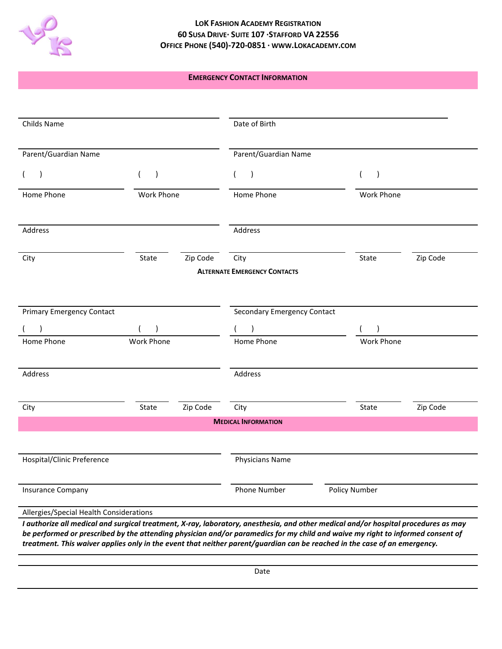

## **LOK FASHION ACADEMY REGISTRATION 60 SUSA DRIVE· SUITE 107 ·STAFFORD VA 22556 OFFICE PHONE (540)-720-0851 · WWW.LOKACADEMY.COM**

### **EMERGENCY CONTACT INFORMATION**

| Childs Name<br>Parent/Guardian Name     |            |                 | Date of Birth                       |                      |          |
|-----------------------------------------|------------|-----------------|-------------------------------------|----------------------|----------|
|                                         |            |                 | Parent/Guardian Name                |                      |          |
|                                         | $\lambda$  |                 | (<br>$\lambda$                      | $\lambda$            |          |
| Home Phone                              | Work Phone |                 | Home Phone                          | Work Phone           |          |
| Address                                 |            |                 | Address                             |                      |          |
| City                                    | State      | Zip Code        | City                                | State                | Zip Code |
|                                         |            |                 | <b>ALTERNATE EMERGENCY CONTACTS</b> |                      |          |
| <b>Primary Emergency Contact</b>        |            |                 | Secondary Emergency Contact         |                      |          |
| $\lambda$                               | $($ $)$    |                 | $\lambda$                           | $($ )                |          |
| Home Phone                              | Work Phone |                 | Home Phone                          | <b>Work Phone</b>    |          |
| Address                                 |            |                 | Address                             |                      |          |
| City                                    | State      | Zip Code        | City                                | State                | Zip Code |
|                                         |            |                 | <b>MEDICAL INFORMATION</b>          |                      |          |
| Hospital/Clinic Preference              |            | Physicians Name |                                     |                      |          |
| <b>Insurance Company</b>                |            |                 | Phone Number                        | <b>Policy Number</b> |          |
| Allergies/Special Health Considerations |            |                 |                                     |                      |          |

*be performed or prescribed by the attending physician and/or paramedics for my child and waive my right to informed consent of treatment. This waiver applies only in the event that neither parent/guardian can be reached in the case of an emergency.*

Date